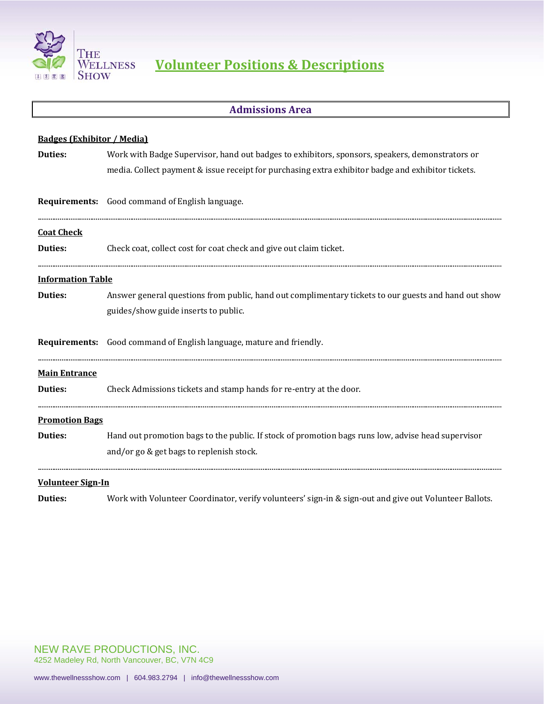

#### **Admissions Area**

| <b>Badges (Exhibitor / Media)</b> |                                                                                                        |
|-----------------------------------|--------------------------------------------------------------------------------------------------------|
| <b>Duties:</b>                    | Work with Badge Supervisor, hand out badges to exhibitors, sponsors, speakers, demonstrators or        |
|                                   | media. Collect payment & issue receipt for purchasing extra exhibitor badge and exhibitor tickets.     |
|                                   | Requirements: Good command of English language.                                                        |
| <b>Coat Check</b>                 |                                                                                                        |
| <b>Duties:</b>                    | Check coat, collect cost for coat check and give out claim ticket.                                     |
| <b>Information Table</b>          |                                                                                                        |
| <b>Duties:</b>                    | Answer general questions from public, hand out complimentary tickets to our guests and hand out show   |
|                                   | guides/show guide inserts to public.                                                                   |
|                                   | Requirements: Good command of English language, mature and friendly.                                   |
| <b>Main Entrance</b>              |                                                                                                        |
| <b>Duties:</b>                    | Check Admissions tickets and stamp hands for re-entry at the door.                                     |
| <b>Promotion Bags</b>             |                                                                                                        |
| <b>Duties:</b>                    | Hand out promotion bags to the public. If stock of promotion bags runs low, advise head supervisor     |
|                                   | and/or go & get bags to replenish stock.                                                               |
| <b>Volunteer Sign-In</b>          |                                                                                                        |
| <b>Duties:</b>                    | Work with Volunteer Coordinator, verify volunteers' sign-in & sign-out and give out Volunteer Ballots. |

NEW RAVE PRODUCTIONS, INC. 4252 Madeley Rd, North Vancouver, BC, V7N 4C9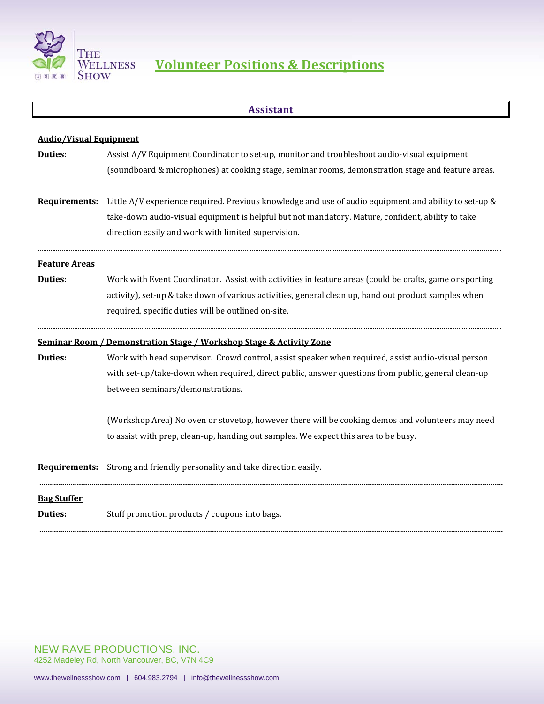

# **Assistant Audio/Visual Equipment Duties:** Assist A/V Equipment Coordinator to set-up, monitor and troubleshoot audio-visual equipment (soundboard & microphones) at cooking stage, seminar rooms, demonstration stage and feature areas. **Requirements:** Little A/V experience required. Previous knowledge and use of audio equipment and ability to set-up & take-down audio-visual equipment is helpful but not mandatory. Mature, confident, ability to take direction easily and work with limited supervision. ................................................................................................................................................................................................................................................................ **Feature Areas Duties:** Work with Event Coordinator. Assist with activities in feature areas (could be crafts, game or sporting activity), set-up & take down of various activities, general clean up, hand out product samples when required, specific duties will be outlined on-site. ................................................................................................................................................................................................................................................................ **Seminar Room / Demonstration Stage / Workshop Stage & Activity Zone Duties:** Work with head supervisor. Crowd control, assist speaker when required, assist audio-visual person with set-up/take-down when required, direct public, answer questions from public, general clean-up between seminars/demonstrations. (Workshop Area) No oven or stovetop, however there will be cooking demos and volunteers may need to assist with prep, clean-up, handing out samples. We expect this area to be busy. **Requirements:** Strong and friendly personality and take direction easily. **............................................................................................................................................................................................................................... Bag Stuffer Duties:** Stuff promotion products / coupons into bags. **...............................................................................................................................................................................................................................**

NEW RAVE PRODUCTIONS, INC. 4252 Madeley Rd, North Vancouver, BC, V7N 4C9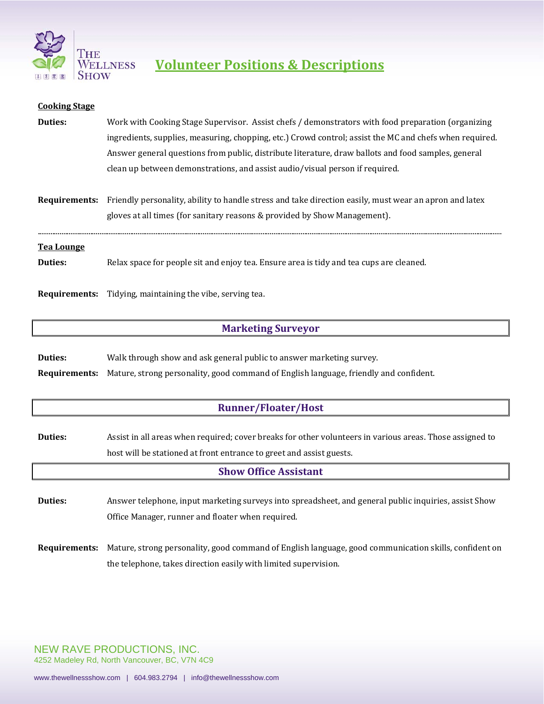

| <b>Cooking Stage</b> |                                                                                                                             |
|----------------------|-----------------------------------------------------------------------------------------------------------------------------|
| Duties:              | Work with Cooking Stage Supervisor. Assist chefs / demonstrators with food preparation (organizing                          |
|                      | ingredients, supplies, measuring, chopping, etc.) Crowd control; assist the MC and chefs when required.                     |
|                      | Answer general questions from public, distribute literature, draw ballots and food samples, general                         |
|                      | clean up between demonstrations, and assist audio/visual person if required.                                                |
|                      |                                                                                                                             |
|                      | <b>Requirements:</b> Friendly personality, ability to handle stress and take direction easily, must wear an apron and latex |
|                      | gloves at all times (for sanitary reasons & provided by Show Management).                                                   |
| <u>Tea Lounge</u>    |                                                                                                                             |
| Duties:              | Relax space for people sit and enjoy tea. Ensure area is tidy and tea cups are cleaned.                                     |
|                      |                                                                                                                             |
| Requirements:        | Tidying, maintaining the vibe, serving tea.                                                                                 |

#### **Marketing Surveyor**

**Duties:** Walk through show and ask general public to answer marketing survey. **Requirements:** Mature, strong personality, good command of English language, friendly and confident.

### **Runner/Floater/Host**

**Duties:** Assist in all areas when required; cover breaks for other volunteers in various areas. Those assigned to host will be stationed at front entrance to greet and assist guests.

#### **Show Office Assistant**

**Duties:** Answer telephone, input marketing surveys into spreadsheet, and general public inquiries, assist Show Office Manager, runner and floater when required.

**Requirements:** Mature, strong personality, good command of English language, good communication skills, confident on the telephone, takes direction easily with limited supervision.

NEW RAVE PRODUCTIONS, INC. 4252 Madeley Rd, North Vancouver, BC, V7N 4C9